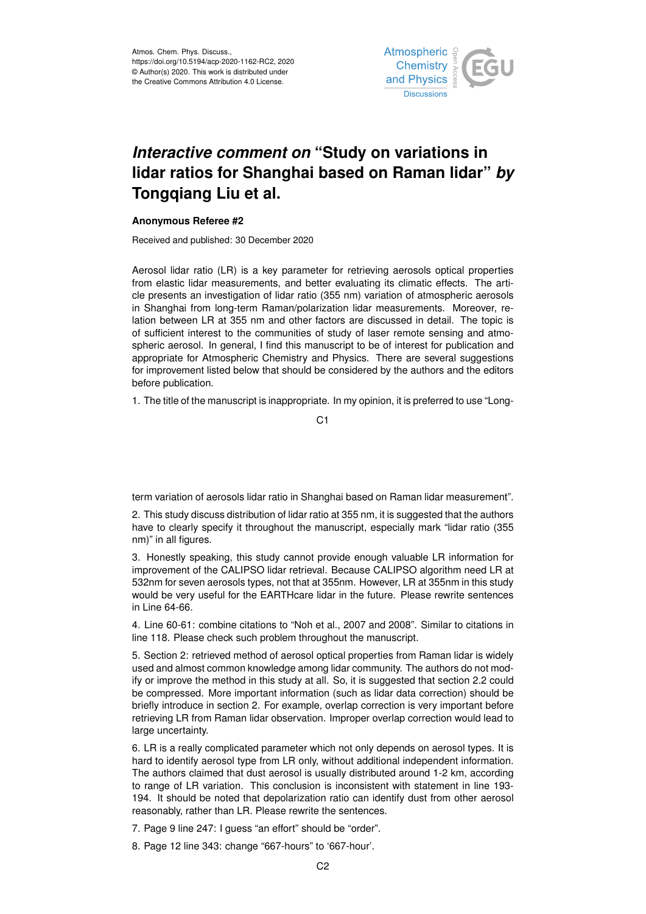

## *Interactive comment on* **"Study on variations in lidar ratios for Shanghai based on Raman lidar"** *by* **Tongqiang Liu et al.**

## **Anonymous Referee #2**

Received and published: 30 December 2020

Aerosol lidar ratio (LR) is a key parameter for retrieving aerosols optical properties from elastic lidar measurements, and better evaluating its climatic effects. The article presents an investigation of lidar ratio (355 nm) variation of atmospheric aerosols in Shanghai from long-term Raman/polarization lidar measurements. Moreover, relation between LR at 355 nm and other factors are discussed in detail. The topic is of sufficient interest to the communities of study of laser remote sensing and atmospheric aerosol. In general, I find this manuscript to be of interest for publication and appropriate for Atmospheric Chemistry and Physics. There are several suggestions for improvement listed below that should be considered by the authors and the editors before publication.

1. The title of the manuscript is inappropriate. In my opinion, it is preferred to use "Long-

C1

term variation of aerosols lidar ratio in Shanghai based on Raman lidar measurement".

2. This study discuss distribution of lidar ratio at 355 nm, it is suggested that the authors have to clearly specify it throughout the manuscript, especially mark "lidar ratio (355 nm)" in all figures.

3. Honestly speaking, this study cannot provide enough valuable LR information for improvement of the CALIPSO lidar retrieval. Because CALIPSO algorithm need LR at 532nm for seven aerosols types, not that at 355nm. However, LR at 355nm in this study would be very useful for the EARTHcare lidar in the future. Please rewrite sentences in Line 64-66.

4. Line 60-61: combine citations to "Noh et al., 2007 and 2008". Similar to citations in line 118. Please check such problem throughout the manuscript.

5. Section 2: retrieved method of aerosol optical properties from Raman lidar is widely used and almost common knowledge among lidar community. The authors do not modify or improve the method in this study at all. So, it is suggested that section 2.2 could be compressed. More important information (such as lidar data correction) should be briefly introduce in section 2. For example, overlap correction is very important before retrieving LR from Raman lidar observation. Improper overlap correction would lead to large uncertainty.

6. LR is a really complicated parameter which not only depends on aerosol types. It is hard to identify aerosol type from LR only, without additional independent information. The authors claimed that dust aerosol is usually distributed around 1-2 km, according to range of LR variation. This conclusion is inconsistent with statement in line 193- 194. It should be noted that depolarization ratio can identify dust from other aerosol reasonably, rather than LR. Please rewrite the sentences.

7. Page 9 line 247: I guess "an effort" should be "order".

8. Page 12 line 343: change "667-hours" to '667-hour'.